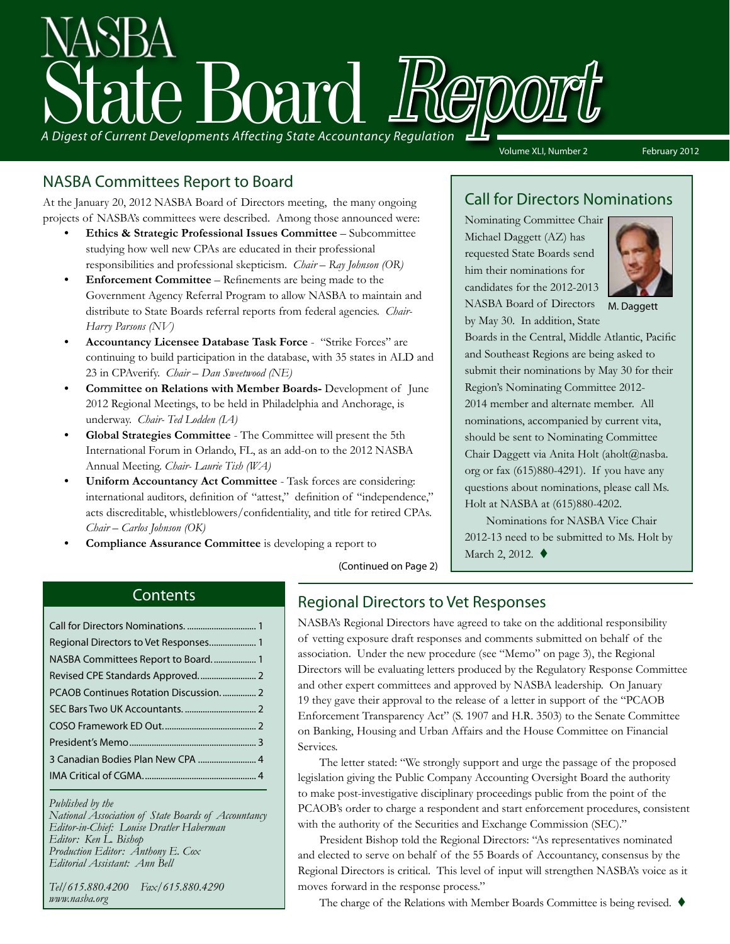# A Digest of Current Developments Affecting State Accountancy Regulation

#### NASBA Committees Report to Board

At the January 20, 2012 NASBA Board of Directors meeting, the many ongoing projects of NASBA's committees were described. Among those announced were:

- **Ethics & Strategic Professional Issues Committee** Subcommittee studying how well new CPAs are educated in their professional responsibilities and professional skepticism. *Chair – Ray Johnson (OR)*
- **Enforcement Committee** Refinements are being made to the Government Agency Referral Program to allow NASBA to maintain and distribute to State Boards referral reports from federal agencies. *Chair-Harry Parsons (NV)*
- **• Accountancy Licensee Database Task Force** "Strike Forces" are continuing to build participation in the database, with 35 states in ALD and 23 in CPAverify. *Chair – Dan Sweetwood (NE)*
- **• Committee on Relations with Member Boards-** Development of June 2012 Regional Meetings, to be held in Philadelphia and Anchorage, is underway. *Chair- Ted Lodden (IA)*
- **• Global Strategies Committee** The Committee will present the 5th International Forum in Orlando, FL, as an add-on to the 2012 NASBA Annual Meeting. *Chair- Laurie Tish (WA)*
- **Uniform Accountancy Act Committee** Task forces are considering: international auditors, definition of "attest," definition of "independence," acts discreditable, whistleblowers/confidentiality, and title for retired CPAs. *Chair – Carlos Johnson (OK)*
- **Compliance Assurance Committee** is developing a report to

#### Call for Directors Nominations

Volume XLI, Number 2 February 2012

Nominating Committee Chair Michael Daggett (AZ) has requested State Boards send him their nominations for candidates for the 2012-2013 NASBA Board of Directors by May 30. In addition, State



M. Daggett

Boards in the Central, Middle Atlantic, Pacific and Southeast Regions are being asked to submit their nominations by May 30 for their Region's Nominating Committee 2012- 2014 member and alternate member. All nominations, accompanied by current vita, should be sent to Nominating Committee Chair Daggett via Anita Holt (aholt@nasba. org or fax (615)880-4291). If you have any questions about nominations, please call Ms. Holt at NASBA at (615)880-4202.

Nominations for NASBA Vice Chair 2012-13 need to be submitted to Ms. Holt by March 2, 2012.  $\blacklozenge$ 

#### **Contents**

| Regional Directors to Vet Responses 1 |  |
|---------------------------------------|--|
|                                       |  |
|                                       |  |
| PCAOB Continues Rotation Discussion 2 |  |
|                                       |  |
|                                       |  |
|                                       |  |
|                                       |  |
|                                       |  |
|                                       |  |

#### *Published by the*

*National Association of State Boards of Accountancy Editor-in-Chief: Louise Dratler Haberman Editor: Ken L. Bishop Production Editor: Anthony E. Cox Editorial Assistant: Ann Bell* 

*Tel/615.880.4200 Fax/615.880.4290 www.nasba.org*

(Continued on Page 2)

#### Regional Directors to Vet Responses

NASBA's Regional Directors have agreed to take on the additional responsibility of vetting exposure draft responses and comments submitted on behalf of the association. Under the new procedure (see "Memo" on page 3), the Regional Directors will be evaluating letters produced by the Regulatory Response Committee and other expert committees and approved by NASBA leadership. On January 19 they gave their approval to the release of a letter in support of the "PCAOB Enforcement Transparency Act" (S. 1907 and H.R. 3503) to the Senate Committee on Banking, Housing and Urban Affairs and the House Committee on Financial Services.

The letter stated: "We strongly support and urge the passage of the proposed legislation giving the Public Company Accounting Oversight Board the authority to make post-investigative disciplinary proceedings public from the point of the PCAOB's order to charge a respondent and start enforcement procedures, consistent with the authority of the Securities and Exchange Commission (SEC)."

President Bishop told the Regional Directors: "As representatives nominated and elected to serve on behalf of the 55 Boards of Accountancy, consensus by the Regional Directors is critical. This level of input will strengthen NASBA's voice as it moves forward in the response process."

The charge of the Relations with Member Boards Committee is being revised.  $\blacklozenge$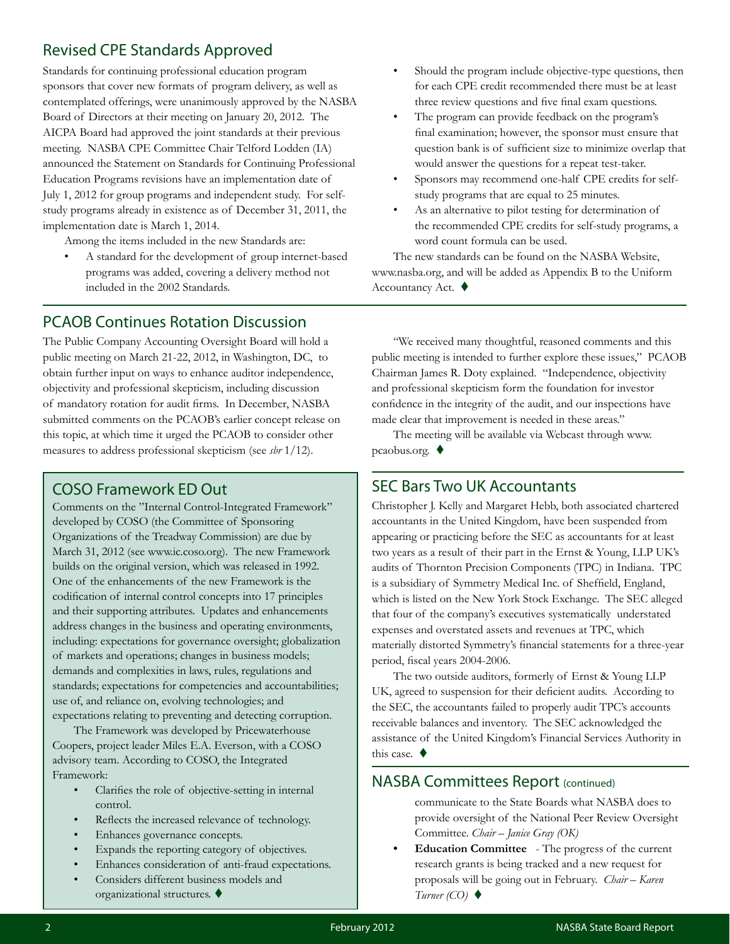#### Revised CPE Standards Approved

Standards for continuing professional education program sponsors that cover new formats of program delivery, as well as contemplated offerings, were unanimously approved by the NASBA Board of Directors at their meeting on January 20, 2012. The AICPA Board had approved the joint standards at their previous meeting. NASBA CPE Committee Chair Telford Lodden (IA) announced the Statement on Standards for Continuing Professional Education Programs revisions have an implementation date of July 1, 2012 for group programs and independent study. For selfstudy programs already in existence as of December 31, 2011, the implementation date is March 1, 2014.

Among the items included in the new Standards are:

• A standard for the development of group internet-based programs was added, covering a delivery method not included in the 2002 Standards.

- Should the program include objective-type questions, then for each CPE credit recommended there must be at least three review questions and five final exam questions.
- The program can provide feedback on the program's final examination; however, the sponsor must ensure that question bank is of sufficient size to minimize overlap that would answer the questions for a repeat test-taker. • Sponsors may recommend one-half CPE credits for self-
- study programs that are equal to 25 minutes.
- As an alternative to pilot testing for determination of the recommended CPE credits for self-study programs, a word count formula can be used.

The new standards can be found on the NASBA Website, www.nasba.org, and will be added as Appendix B to the Uniform Accountancy Act.  $\blacklozenge$ 

#### PCAOB Continues Rotation Discussion

The Public Company Accounting Oversight Board will hold a public meeting on March 21-22, 2012, in Washington, DC, to obtain further input on ways to enhance auditor independence, objectivity and professional skepticism, including discussion of mandatory rotation for audit firms. In December, NASBA submitted comments on the PCAOB's earlier concept release on this topic, at which time it urged the PCAOB to consider other measures to address professional skepticism (see *sbr* 1/12).

#### COSO Framework ED Out

Comments on the "Internal Control-Integrated Framework" developed by COSO (the Committee of Sponsoring Organizations of the Treadway Commission) are due by March 31, 2012 (see www.ic.coso.org). The new Framework builds on the original version, which was released in 1992. One of the enhancements of the new Framework is the codification of internal control concepts into 17 principles and their supporting attributes. Updates and enhancements address changes in the business and operating environments, including: expectations for governance oversight; globalization of markets and operations; changes in business models; demands and complexities in laws, rules, regulations and standards; expectations for competencies and accountabilities; use of, and reliance on, evolving technologies; and expectations relating to preventing and detecting corruption.

The Framework was developed by Pricewaterhouse Coopers, project leader Miles E.A. Everson, with a COSO advisory team. According to COSO, the Integrated Framework:

- Clarifies the role of objective-setting in internal control.
- Reflects the increased relevance of technology.
- Enhances governance concepts.
- Expands the reporting category of objectives.
- Enhances consideration of anti-fraud expectations.
- Considers different business models and organizational structures.  $\blacklozenge$

"We received many thoughtful, reasoned comments and this public meeting is intended to further explore these issues," PCAOB Chairman James R. Doty explained. "Independence, objectivity and professional skepticism form the foundation for investor confidence in the integrity of the audit, and our inspections have made clear that improvement is needed in these areas."

The meeting will be available via Webcast through www. pcaobus.org.  $\blacklozenge$ 

#### SEC Bars Two UK Accountants

Christopher J. Kelly and Margaret Hebb, both associated chartered accountants in the United Kingdom, have been suspended from appearing or practicing before the SEC as accountants for at least two years as a result of their part in the Ernst & Young, LLP UK's audits of Thornton Precision Components (TPC) in Indiana. TPC is a subsidiary of Symmetry Medical Inc. of Sheffield, England, which is listed on the New York Stock Exchange. The SEC alleged that four of the company's executives systematically understated expenses and overstated assets and revenues at TPC, which materially distorted Symmetry's financial statements for a three-year period, fiscal years 2004-2006.

The two outside auditors, formerly of Ernst & Young LLP UK, agreed to suspension for their deficient audits. According to the SEC, the accountants failed to properly audit TPC's accounts receivable balances and inventory. The SEC acknowledged the assistance of the United Kingdom's Financial Services Authority in this case.  $\blacklozenge$ 

#### NASBA Committees Report (continued)

communicate to the State Boards what NASBA does to provide oversight of the National Peer Review Oversight Committee. *Chair – Janice Gray (OK)*

**Education Committee** - The progress of the current research grants is being tracked and a new request for proposals will be going out in February. *Chair – Karen*   $Turner (CO)$   $\blacklozenge$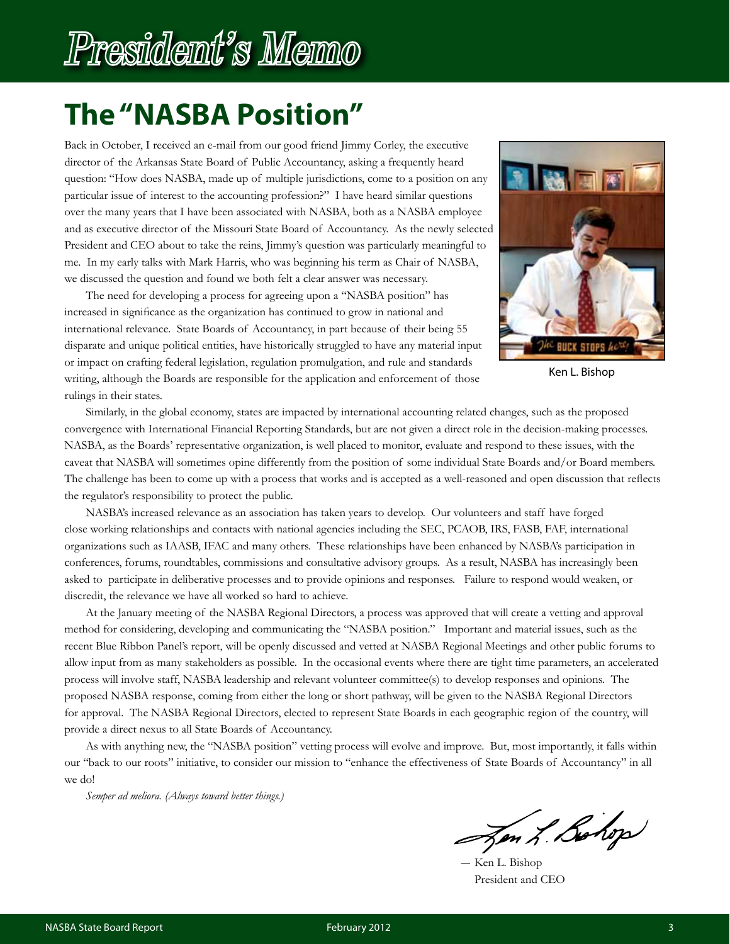# President's Memo

## **The "NASBA Position"**

Back in October, I received an e-mail from our good friend Jimmy Corley, the executive director of the Arkansas State Board of Public Accountancy, asking a frequently heard question: "How does NASBA, made up of multiple jurisdictions, come to a position on any particular issue of interest to the accounting profession?" I have heard similar questions over the many years that I have been associated with NASBA, both as a NASBA employee and as executive director of the Missouri State Board of Accountancy. As the newly selected President and CEO about to take the reins, Jimmy's question was particularly meaningful to me. In my early talks with Mark Harris, who was beginning his term as Chair of NASBA, we discussed the question and found we both felt a clear answer was necessary.

The need for developing a process for agreeing upon a "NASBA position" has increased in significance as the organization has continued to grow in national and international relevance. State Boards of Accountancy, in part because of their being 55 disparate and unique political entities, have historically struggled to have any material input or impact on crafting federal legislation, regulation promulgation, and rule and standards writing, although the Boards are responsible for the application and enforcement of those rulings in their states.



Ken L. Bishop

Similarly, in the global economy, states are impacted by international accounting related changes, such as the proposed convergence with International Financial Reporting Standards, but are not given a direct role in the decision-making processes. NASBA, as the Boards' representative organization, is well placed to monitor, evaluate and respond to these issues, with the caveat that NASBA will sometimes opine differently from the position of some individual State Boards and/or Board members. The challenge has been to come up with a process that works and is accepted as a well-reasoned and open discussion that reflects the regulator's responsibility to protect the public.

NASBA's increased relevance as an association has taken years to develop. Our volunteers and staff have forged close working relationships and contacts with national agencies including the SEC, PCAOB, IRS, FASB, FAF, international organizations such as IAASB, IFAC and many others. These relationships have been enhanced by NASBA's participation in conferences, forums, roundtables, commissions and consultative advisory groups. As a result, NASBA has increasingly been asked to participate in deliberative processes and to provide opinions and responses. Failure to respond would weaken, or discredit, the relevance we have all worked so hard to achieve.

At the January meeting of the NASBA Regional Directors, a process was approved that will create a vetting and approval method for considering, developing and communicating the "NASBA position." Important and material issues, such as the recent Blue Ribbon Panel's report, will be openly discussed and vetted at NASBA Regional Meetings and other public forums to allow input from as many stakeholders as possible. In the occasional events where there are tight time parameters, an accelerated process will involve staff, NASBA leadership and relevant volunteer committee(s) to develop responses and opinions. The proposed NASBA response, coming from either the long or short pathway, will be given to the NASBA Regional Directors for approval. The NASBA Regional Directors, elected to represent State Boards in each geographic region of the country, will provide a direct nexus to all State Boards of Accountancy.

As with anything new, the "NASBA position" vetting process will evolve and improve. But, most importantly, it falls within our "back to our roots" initiative, to consider our mission to "enhance the effectiveness of State Boards of Accountancy" in all we do!

*Semper ad meliora. (Always toward better things.)*

Jen L. Bohop

― Ken L. Bishop President and CEO